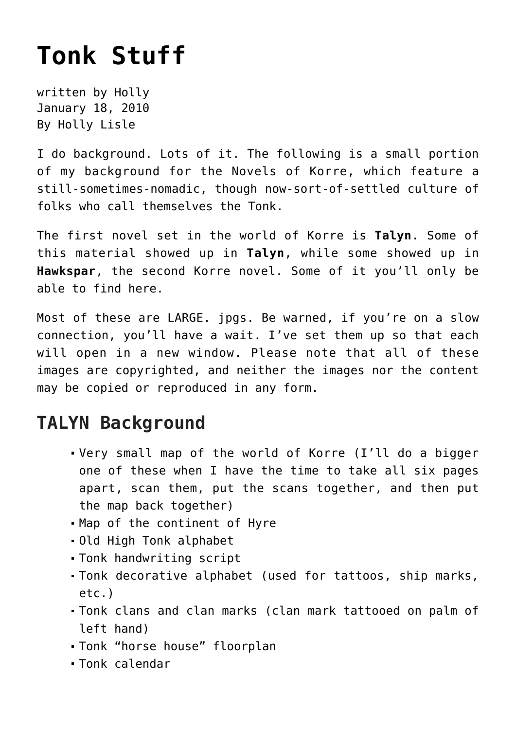## **[Tonk Stuff](https://hollylisle.com/tonk-stuff/)**

written by Holly January 18, 2010 [By Holly Lisle](https://hollylisle.com)

I do background. Lots of it. The following is a small portion of my background for the [Novels of Korre,](https://hollylisle.com/writingdiary2/? cat=) which feature a still-sometimes-nomadic, though now-sort-of-settled culture of folks who call themselves the Tonk.

The first novel set in the world of Korre is **[Talyn](https://hollylisle.com/writingdiary2/index.php/category/books/world-of-korre/talyn/)**. Some of this material showed up in **Talyn**, while some showed up in **[Hawkspar](https://hollylisle.com/writingdiary2/index.php/category/books/world-of-korre/hawkspar/)**, the second Korre novel. Some of it you'll only be able to find here.

Most of these are LARGE. jpgs. Be warned, if you're on a slow connection, you'll have a wait. I've set them up so that each will open in a new window. Please note that all of these images are copyrighted, and neither the images nor the content may be copied or reproduced in any form.

## **TALYN Background**

- [Very small map of the world of Korre](https://hollylisle.com/images/tonk_korre_map_small.jpg) (I'll do a bigger one of these when I have the time to take all six pages apart, scan them, put the scans together, and then put the map back together)
- [Map of the continent of Hyre](https://hollylisle.com/images/tonk_map_of_hyre.jpg)
- [Old High Tonk alphabet](https://hollylisle.com/images/old_high_tonk_alphabet.jpg)
- [Tonk handwriting script](https://hollylisle.com/images/modified_tonk_script.jpg)
- [Tonk decorative alphabet](https://hollylisle.com/images/tonk_decorative_alphabet.jpg) (used for tattoos, ship marks, etc.)
- [Tonk clans and clan marks](https://hollylisle.com/images/tonk_clans_and_clan_symbols.jpg) (clan mark tattooed on palm of left hand)
- [Tonk "horse house" floorplan](https://hollylisle.com/images/tonk_horse_house.jpg)
- [Tonk calendar](https://hollylisle.com/articles/tonk-calendar/)